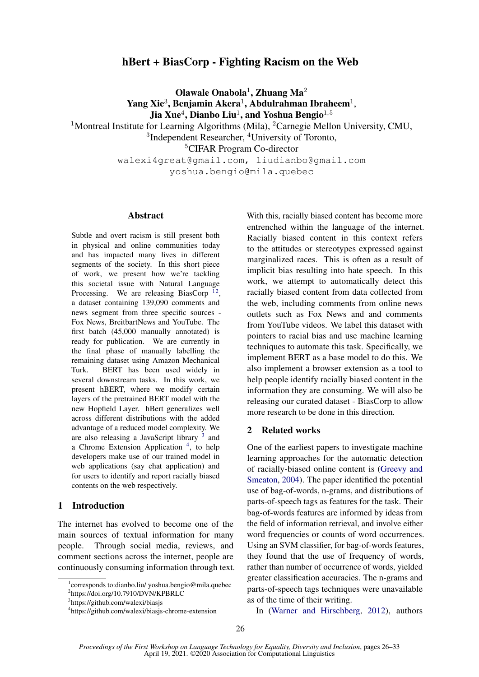# hBert + BiasCorp - Fighting Racism on the Web

Olawale Onabola<sup>1</sup>, Zhuang Ma<sup>2</sup> Yang Xie<sup>3</sup>, Benjamin Akera<sup>1</sup>, Abdulrahman Ibraheem<sup>1</sup>, Jia Xue $^4$ , Dianbo Liu $^1$ , and Yoshua Bengio $^{1,5}$ 

<sup>1</sup>Montreal Institute for Learning Algorithms (Mila), <sup>2</sup>Carnegie Mellon University, CMU, <sup>3</sup>Independent Researcher, <sup>4</sup>University of Toronto,

<sup>5</sup>CIFAR Program Co-director

walexi4great@gmail.com, liudianbo@gmail.com yoshua.bengio@mila.quebec

#### Abstract

Subtle and overt racism is still present both in physical and online communities today and has impacted many lives in different segments of the society. In this short piece of work, we present how we're tackling this societal issue with Natural Language Processing. We are releasing BiasCorp<sup>[1](#page-0-0)[2](#page-0-1)</sup>, a dataset containing 139,090 comments and news segment from three specific sources - Fox News, BreitbartNews and YouTube. The first batch (45,000 manually annotated) is ready for publication. We are currently in the final phase of manually labelling the remaining dataset using Amazon Mechanical Turk. BERT has been used widely in several downstream tasks. In this work, we present hBERT, where we modify certain layers of the pretrained BERT model with the new Hopfield Layer. hBert generalizes well across different distributions with the added advantage of a reduced model complexity. We are also releasing a JavaScript library <sup>[3](#page-0-2)</sup> and a Chrome Extension Application<sup>[4](#page-0-3)</sup>, to help developers make use of our trained model in web applications (say chat application) and for users to identify and report racially biased contents on the web respectively.

# 1 Introduction

The internet has evolved to become one of the main sources of textual information for many people. Through social media, reviews, and comment sections across the internet, people are continuously consuming information through text.

<span id="page-0-2"></span>3 https://github.com/walexi/biasjs

With this, racially biased content has become more entrenched within the language of the internet. Racially biased content in this context refers to the attitudes or stereotypes expressed against marginalized races. This is often as a result of implicit bias resulting into hate speech. In this work, we attempt to automatically detect this racially biased content from data collected from the web, including comments from online news outlets such as Fox News and and comments from YouTube videos. We label this dataset with pointers to racial bias and use machine learning techniques to automate this task. Specifically, we implement BERT as a base model to do this. We also implement a browser extension as a tool to help people identify racially biased content in the information they are consuming. We will also be releasing our curated dataset - BiasCorp to allow more research to be done in this direction.

# 2 Related works

One of the earliest papers to investigate machine learning approaches for the automatic detection of racially-biased online content is [\(Greevy and](#page-7-0) [Smeaton,](#page-7-0) [2004\)](#page-7-0). The paper identified the potential use of bag-of-words, n-grams, and distributions of parts-of-speech tags as features for the task. Their bag-of-words features are informed by ideas from the field of information retrieval, and involve either word frequencies or counts of word occurrences. Using an SVM classifier, for bag-of-words features, they found that the use of frequency of words, rather than number of occurrence of words, yielded greater classification accuracies. The n-grams and parts-of-speech tags techniques were unavailable as of the time of their writing.

In [\(Warner and Hirschberg,](#page-7-1) [2012\)](#page-7-1), authors

<span id="page-0-1"></span><span id="page-0-0"></span><sup>1</sup> corresponds to:dianbo.liu/ yoshua.bengio@mila.quebec <sup>2</sup>https://doi.org/10.7910/DVN/KPBRLC

<span id="page-0-3"></span><sup>4</sup> https://github.com/walexi/biasjs-chrome-extension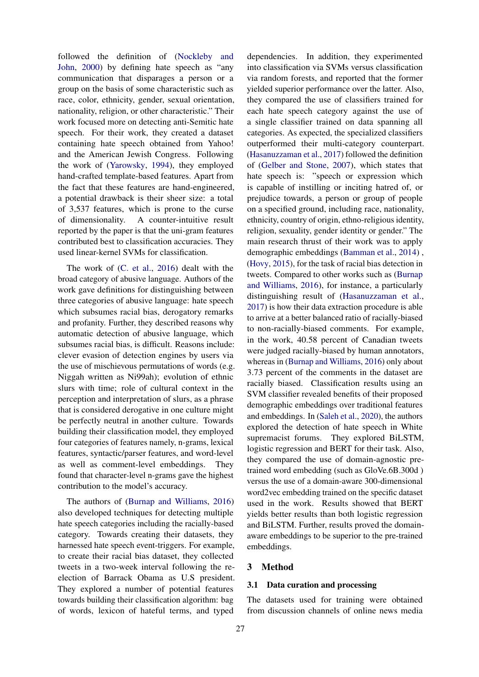followed the definition of [\(Nockleby and](#page-7-2) [John,](#page-7-2) [2000\)](#page-7-2) by defining hate speech as "any communication that disparages a person or a group on the basis of some characteristic such as race, color, ethnicity, gender, sexual orientation, nationality, religion, or other characteristic." Their work focused more on detecting anti-Semitic hate speech. For their work, they created a dataset containing hate speech obtained from Yahoo! and the American Jewish Congress. Following the work of [\(Yarowsky,](#page-7-3) [1994\)](#page-7-3), they employed hand-crafted template-based features. Apart from the fact that these features are hand-engineered, a potential drawback is their sheer size: a total of 3,537 features, which is prone to the curse of dimensionality. A counter-intuitive result reported by the paper is that the uni-gram features contributed best to classification accuracies. They used linear-kernel SVMs for classification.

The work of [\(C. et al.,](#page-7-4) [2016\)](#page-7-4) dealt with the broad category of abusive language. Authors of the work gave definitions for distinguishing between three categories of abusive language: hate speech which subsumes racial bias, derogatory remarks and profanity. Further, they described reasons why automatic detection of abusive language, which subsumes racial bias, is difficult. Reasons include: clever evasion of detection engines by users via the use of mischievous permutations of words (e.g. Niggah written as Ni99ah); evolution of ethnic slurs with time; role of cultural context in the perception and interpretation of slurs, as a phrase that is considered derogative in one culture might be perfectly neutral in another culture. Towards building their classification model, they employed four categories of features namely, n-grams, lexical features, syntactic/parser features, and word-level as well as comment-level embeddings. They found that character-level n-grams gave the highest contribution to the model's accuracy.

The authors of [\(Burnap and Williams,](#page-6-0) [2016\)](#page-6-0) also developed techniques for detecting multiple hate speech categories including the racially-based category. Towards creating their datasets, they harnessed hate speech event-triggers. For example, to create their racial bias dataset, they collected tweets in a two-week interval following the reelection of Barrack Obama as U.S president. They explored a number of potential features towards building their classification algorithm: bag of words, lexicon of hateful terms, and typed

dependencies. In addition, they experimented into classification via SVMs versus classification via random forests, and reported that the former yielded superior performance over the latter. Also, they compared the use of classifiers trained for each hate speech category against the use of a single classifier trained on data spanning all categories. As expected, the specialized classifiers outperformed their multi-category counterpart. [\(Hasanuzzaman et al.,](#page-7-5) [2017\)](#page-7-5) followed the definition of [\(Gelber and Stone,](#page-7-6) [2007\)](#page-7-6), which states that hate speech is: "speech or expression which is capable of instilling or inciting hatred of, or prejudice towards, a person or group of people on a specified ground, including race, nationality, ethnicity, country of origin, ethno-religious identity, religion, sexuality, gender identity or gender." The main research thrust of their work was to apply demographic embeddings [\(Bamman et al.,](#page-6-1) [2014\)](#page-6-1) , [\(Hovy,](#page-7-7) [2015\)](#page-7-7), for the task of racial bias detection in tweets. Compared to other works such as [\(Burnap](#page-6-0) [and Williams,](#page-6-0) [2016\)](#page-6-0), for instance, a particularly distinguishing result of [\(Hasanuzzaman et al.,](#page-7-5) [2017\)](#page-7-5) is how their data extraction procedure is able to arrive at a better balanced ratio of racially-biased to non-racially-biased comments. For example, in the work, 40.58 percent of Canadian tweets were judged racially-biased by human annotators, whereas in [\(Burnap and Williams,](#page-6-0) [2016\)](#page-6-0) only about 3.73 percent of the comments in the dataset are racially biased. Classification results using an SVM classifier revealed benefits of their proposed demographic embeddings over traditional features and embeddings. In [\(Saleh et al.,](#page-7-8) [2020\)](#page-7-8), the authors explored the detection of hate speech in White supremacist forums. They explored BiLSTM, logistic regression and BERT for their task. Also, they compared the use of domain-agnostic pretrained word embedding (such as GloVe.6B.300d ) versus the use of a domain-aware 300-dimensional word2vec embedding trained on the specific dataset used in the work. Results showed that BERT yields better results than both logistic regression and BiLSTM. Further, results proved the domainaware embeddings to be superior to the pre-trained embeddings.

## 3 Method

#### 3.1 Data curation and processing

The datasets used for training were obtained from discussion channels of online news media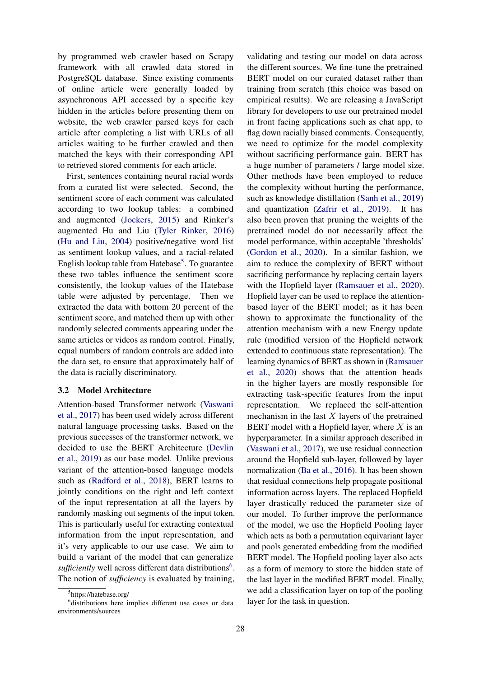by programmed web crawler based on Scrapy framework with all crawled data stored in PostgreSQL database. Since existing comments of online article were generally loaded by asynchronous API accessed by a specific key hidden in the articles before presenting them on website, the web crawler parsed keys for each article after completing a list with URLs of all articles waiting to be further crawled and then matched the keys with their corresponding API to retrieved stored comments for each article.

First, sentences containing neural racial words from a curated list were selected. Second, the sentiment score of each comment was calculated according to two lookup tables: a combined and augmented [\(Jockers,](#page-7-9) [2015\)](#page-7-9) and Rinker's augmented Hu and Liu [\(Tyler Rinker,](#page-7-10) [2016\)](#page-7-10) [\(Hu and Liu,](#page-7-11) [2004\)](#page-7-11) positive/negative word list as sentiment lookup values, and a racial-related English lookup table from Hatebase<sup>[5](#page-2-0)</sup>. To guarantee these two tables influence the sentiment score consistently, the lookup values of the Hatebase table were adjusted by percentage. Then we extracted the data with bottom 20 percent of the sentiment score, and matched them up with other randomly selected comments appearing under the same articles or videos as random control. Finally, equal numbers of random controls are added into the data set, to ensure that approximately half of the data is racially discriminatory.

#### 3.2 Model Architecture

Attention-based Transformer network [\(Vaswani](#page-7-12) [et al.,](#page-7-12) [2017\)](#page-7-12) has been used widely across different natural language processing tasks. Based on the previous successes of the transformer network, we decided to use the BERT Architecture [\(Devlin](#page-7-13) [et al.,](#page-7-13) [2019\)](#page-7-13) as our base model. Unlike previous variant of the attention-based language models such as [\(Radford et al.,](#page-7-14) [2018\)](#page-7-14), BERT learns to jointly conditions on the right and left context of the input representation at all the layers by randomly masking out segments of the input token. This is particularly useful for extracting contextual information from the input representation, and it's very applicable to our use case. We aim to build a variant of the model that can generalize sufficiently well across different data distributions<sup>[6](#page-2-1)</sup>. The notion of *sufficiency* is evaluated by training,

validating and testing our model on data across the different sources. We fine-tune the pretrained BERT model on our curated dataset rather than training from scratch (this choice was based on empirical results). We are releasing a JavaScript library for developers to use our pretrained model in front facing applications such as chat app, to flag down racially biased comments. Consequently, we need to optimize for the model complexity without sacrificing performance gain. BERT has a huge number of parameters / large model size. Other methods have been employed to reduce the complexity without hurting the performance, such as knowledge distillation [\(Sanh et al.,](#page-7-15) [2019\)](#page-7-15) and quantization [\(Zafrir et al.,](#page-7-16) [2019\)](#page-7-16). It has also been proven that pruning the weights of the pretrained model do not necessarily affect the model performance, within acceptable 'thresholds' [\(Gordon et al.,](#page-7-17) [2020\)](#page-7-17). In a similar fashion, we aim to reduce the complexity of BERT without sacrificing performance by replacing certain layers with the Hopfield layer [\(Ramsauer et al.,](#page-7-18) [2020\)](#page-7-18). Hopfield layer can be used to replace the attentionbased layer of the BERT model; as it has been shown to approximate the functionality of the attention mechanism with a new Energy update rule (modified version of the Hopfield network extended to continuous state representation). The learning dynamics of BERT as shown in [\(Ramsauer](#page-7-18) [et al.,](#page-7-18) [2020\)](#page-7-18) shows that the attention heads in the higher layers are mostly responsible for extracting task-specific features from the input representation. We replaced the self-attention mechanism in the last  $X$  layers of the pretrained BERT model with a Hopfield layer, where  $X$  is an hyperparameter. In a similar approach described in [\(Vaswani et al.,](#page-7-12) [2017\)](#page-7-12), we use residual connection around the Hopfield sub-layer, followed by layer normalization [\(Ba et al.,](#page-6-2) [2016\)](#page-6-2). It has been shown that residual connections help propagate positional information across layers. The replaced Hopfield layer drastically reduced the parameter size of our model. To further improve the performance of the model, we use the Hopfield Pooling layer which acts as both a permutation equivariant layer and pools generated embedding from the modified BERT model. The Hopfield pooling layer also acts as a form of memory to store the hidden state of the last layer in the modified BERT model. Finally, we add a classification layer on top of the pooling layer for the task in question.

<span id="page-2-1"></span><span id="page-2-0"></span><sup>5</sup> https://hatebase.org/

<sup>6</sup> distributions here implies different use cases or data environments/sources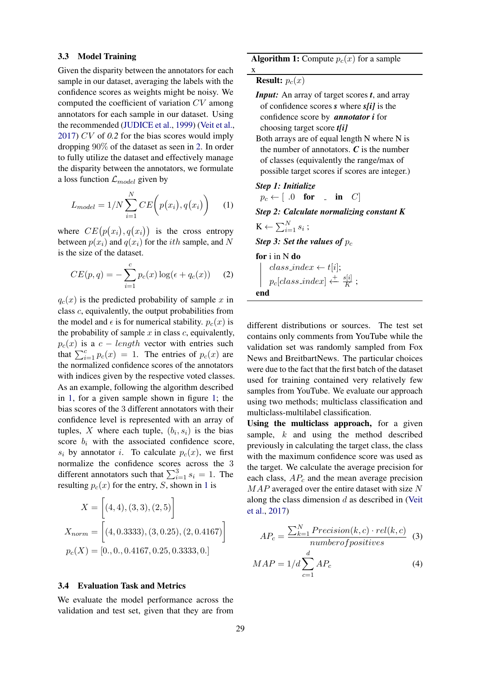#### 3.3 Model Training

Given the disparity between the annotators for each sample in our dataset, averaging the labels with the confidence scores as weights might be noisy. We computed the coefficient of variation CV among annotators for each sample in our dataset. Using the recommended [\(JUDICE et al.,](#page-7-19) [1999\)](#page-7-19) [\(Veit et al.,](#page-7-20) [2017\)](#page-7-20) CV of *0.2* for the bias scores would imply dropping 90% of the dataset as seen in [2.](#page-4-0) In order to fully utilize the dataset and effectively manage the disparity between the annotators, we formulate a loss function  $\mathcal{L}_{model}$  given by

$$
L_{model} = 1/N \sum_{i=1}^{N} CE\left(p(x_i), q(x_i)\right) \quad (1)
$$

where  $CE(p(x_i), q(x_i))$  is the cross entropy between  $p(x_i)$  and  $q(x_i)$  for the *ith* sample, and N is the size of the dataset.

$$
CE(p,q) = -\sum_{i=1}^{c} p_c(x) \log(\epsilon + q_c(x)) \quad (2)
$$

 $q_c(x)$  is the predicted probability of sample x in class c, equivalently, the output probabilities from the model and  $\epsilon$  is for numerical stability.  $p_c(x)$  is the probability of sample  $x$  in class  $c$ , equivalently,  $p_c(x)$  is a  $c - length$  vector with entries such that  $\sum_{i=1}^{c} p_c(x) = 1$ . The entries of  $p_c(x)$  are the normalized confidence scores of the annotators with indices given by the respective voted classes. As an example, following the algorithm described in [1,](#page-3-0) for a given sample shown in figure [1;](#page-4-1) the bias scores of the 3 different annotators with their confidence level is represented with an array of tuples, X where each tuple,  $(b_i, s_i)$  is the bias score  $b_i$  with the associated confidence score,  $s_i$  by annotator i. To calculate  $p_c(x)$ , we first normalize the confidence scores across the 3 different annotators such that  $\sum_{i=1}^{3} s_i = 1$ . The resulting  $p_c(x)$  for the entry, S, shown in [1](#page-4-1) is

$$
X = [(4, 4), (3, 3), (2, 5)]
$$
  

$$
X_{norm} = [(4, 0.3333), (3, 0.25), (2, 0.4167)]
$$
  

$$
p_c(X) = [0., 0., 0.4167, 0.25, 0.3333, 0.]
$$

## 3.4 Evaluation Task and Metrics

We evaluate the model performance across the validation and test set, given that they are from

**Algorithm 1:** Compute  $p_c(x)$  for a sample

**Result:**  $p_c(x)$ 

x

- *Input:* An array of target scores *t*, and array of confidence scores *s* where *s[i]* is the confidence score by *annotator i* for choosing target score *t[i]* Both arrays are of equal length N where N is
- the number of annotators. *C* is the number of classes (equivalently the range/max of possible target scores if scores are integer.)

# *Step 1: Initialize*

$$
p_c \leftarrow [ .0 \quad \textbf{for} \quad . \quad \textbf{in} \quad C ]
$$

*Step 2: Calculate normalizing constant K*

$$
\mathbf{K} \leftarrow \sum_{i=1}^{N} s_i ;
$$

**Step 3: Set the values of**  $p_c$ 

for i in N do  $class\_index \leftarrow t[i];$ 

<span id="page-3-0"></span>
$$
\left| p_c[class_index] \xleftarrow{f} \frac{s[i]}{K} ; \right.
$$

different distributions or sources. The test set contains only comments from YouTube while the validation set was randomly sampled from Fox News and BreitbartNews. The particular choices were due to the fact that the first batch of the dataset used for training contained very relatively few samples from YouTube. We evaluate our approach using two methods; multiclass classification and multiclass-multilabel classification.

Using the multiclass approach, for a given sample,  $k$  and using the method described previously in calculating the target class, the class with the maximum confidence score was used as the target. We calculate the average precision for each class,  $AP_c$  and the mean average precision MAP averaged over the entire dataset with size N along the class dimension  $d$  as described in [\(Veit](#page-7-20) [et al.,](#page-7-20) [2017\)](#page-7-20)

$$
AP_c = \frac{\sum_{k=1}^{N} Precision(k, c) \cdot rel(k, c)}{number of positives} \quad (3)
$$

$$
MAP = 1/d \sum_{c=1}^{d} AP_c \quad (4)
$$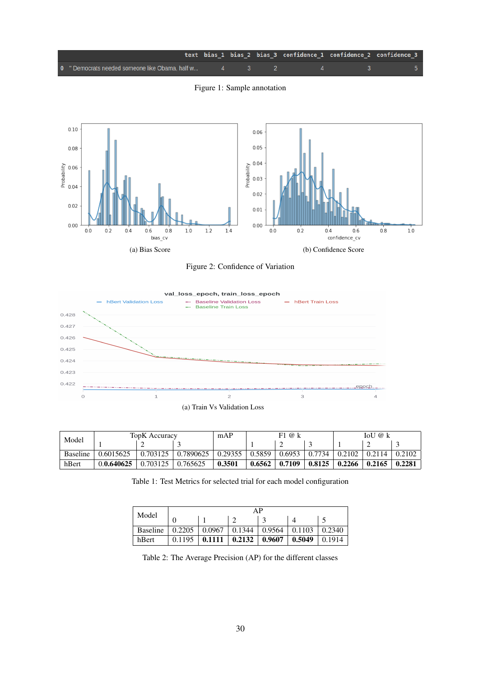<span id="page-4-1"></span>

Figure 1: Sample annotation

<span id="page-4-0"></span>

Figure 2: Confidence of Variation



<span id="page-4-3"></span><span id="page-4-2"></span>

| Model           | <b>TopK</b> Accuracy |          |           | mAP     | F1@k   |        |        | IoU<br>@ k |        |        |
|-----------------|----------------------|----------|-----------|---------|--------|--------|--------|------------|--------|--------|
|                 |                      |          |           |         |        |        |        |            |        |        |
| <b>Baseline</b> | 0.6015625            | 0.703125 | 0.7890625 | 0.29355 | 0.5859 | 0.6953 | 0.7734 | 0.2102     | 0.2114 | 0.2102 |
| hBert           | 0.0.640625           | 0.703125 | 0.765625  | 0.3501  | 0.6562 | 0.7109 | 0.8125 | 0.2266     | 0.2165 | 0.2281 |

Table 1: Test Metrics for selected trial for each model configuration

| Model           | АP     |        |        |        |        |        |  |  |  |
|-----------------|--------|--------|--------|--------|--------|--------|--|--|--|
|                 |        |        |        |        |        |        |  |  |  |
| <b>Baseline</b> | 0.2205 | 0.0967 | 0.1344 | 0.9564 | 0.1103 | 0.2340 |  |  |  |
| hBert           | 0.1195 | 0.1111 | 0.2132 | 0.9607 | 0.5049 | 0.1914 |  |  |  |

Table 2: The Average Precision (AP) for the different classes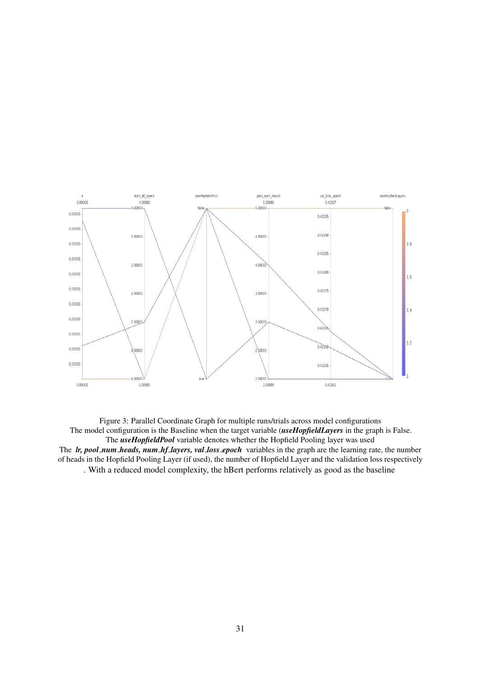<span id="page-5-0"></span>

Figure 3: Parallel Coordinate Graph for multiple runs/trials across model configurations The model configuration is the Baseline when the target variable (*useHopfieldLayers* in the graph is False. The *useHopfieldPool* variable denotes whether the Hopfield Pooling layer was used The *lr, pool num heads, num hf layers, val loss epoch* variables in the graph are the learning rate, the number of heads in the Hopfield Pooling Layer (if used), the number of Hopfield Layer and the validation loss respectively . With a reduced model complexity, the hBert performs relatively as good as the baseline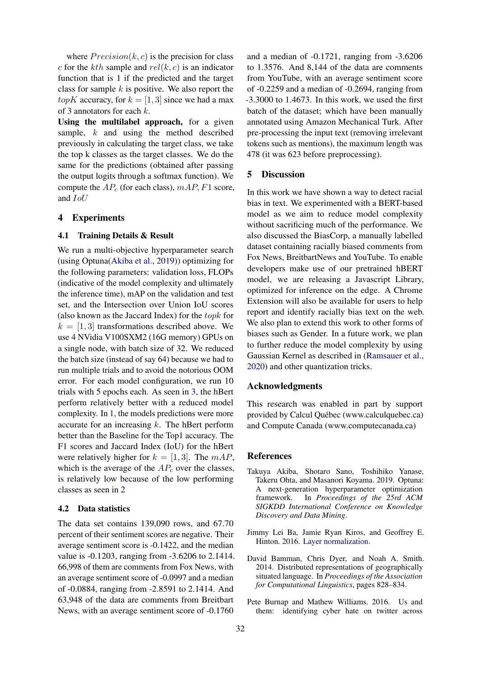where  $Precision(k, c)$  is the precision for class c for the kth sample and  $rel(k, c)$  is an indicator function that is 1 if the predicted and the target class for sample  $k$  is positive. We also report the *topK* accuracy, for  $k = \begin{bmatrix} 1 \\ 3 \end{bmatrix}$  since we had a max of 3 annotators for each k.

Using the multilabel approach, for a given sample, k and using the method described previously in calculating the target class, we take the top k classes as the target classes. We do the same for the predictions (obtained after passing the output logits through a softmax function). We compute the  $AP_c$  (for each class),  $mAP$ ,  $F1$  score, and IoU

### 4 Experiments

### 4.1 Training Details & Result

We run a multi-objective hyperparameter search (using Optuna[\(Akiba et al.,](#page-6-3) [2019\)](#page-6-3)) optimizing for the following parameters: validation loss, FLOPs (indicative of the model complexity and ultimately the inference time), mAP on the validation and test set, and the Intersection over Union IoU scores (also known as the Jaccard Index) for the topk for  $k = [1, 3]$  transformations described above. We use 4 NVidia V100SXM2 (16G memory) GPUs on a single node, with batch size of 32. We reduced the batch size (instead of say 64) because we had to run multiple trials and to avoid the notorious OOM error. For each model configuration, we run 10 trials with 5 epochs each. As seen in [3,](#page-5-0) the hBert perform relatively better with a reduced model complexity. In [1,](#page-4-2) the models predictions were more accurate for an increasing  $k$ . The hBert perform better than the Baseline for the Top1 accuracy. The F1 scores and Jaccard Index (IoU) for the hBert were relatively higher for  $k = [1, 3]$ . The  $mAP$ , which is the average of the  $AP_c$  over the classes, is relatively low because of the low performing classes as seen in [2](#page-4-3)

#### 4.2 Data statistics

The data set contains 139,090 rows, and 67.70 percent of their sentiment scores are negative. Their average sentiment score is -0.1422, and the median value is -0.1203, ranging from -3.6206 to 2.1414. 66,998 of them are comments from Fox News, with an average sentiment score of -0.0997 and a median of -0.0884, ranging from -2.8591 to 2.1414. And 63,948 of the data are comments from Breitbart News, with an average sentiment score of -0.1760

and a median of -0.1721, ranging from -3.6206 to 1.3576. And 8,144 of the data are comments from YouTube, with an average sentiment score of -0.2259 and a median of -0.2694, ranging from -3.3000 to 1.4673. In this work, we used the first batch of the dataset; which have been manually annotated using Amazon Mechanical Turk. After pre-processing the input text (removing irrelevant tokens such as mentions), the maximum length was 478 (it was 623 before preprocessing).

## 5 Discussion

In this work we have shown a way to detect racial bias in text. We experimented with a BERT-based model as we aim to reduce model complexity without sacrificing much of the performance. We also discussed the BiasCorp, a manually labelled dataset containing racially biased comments from Fox News, BreitbartNews and YouTube. To enable developers make use of our pretrained hBERT model, we are releasing a Javascript Library, optimized for inference on the edge. A Chrome Extension will also be available for users to help report and identify racially bias text on the web. We also plan to extend this work to other forms of biases such as Gender. In a future work, we plan to further reduce the model complexity by using Gaussian Kernel as described in [\(Ramsauer et al.,](#page-7-18) [2020\)](#page-7-18) and other quantization tricks.

## Acknowledgments

This research was enabled in part by support provided by Calcul Québec (www.calculquebec.ca) and Compute Canada (www.computecanada.ca)

## **References**

- <span id="page-6-3"></span>Takuya Akiba, Shotaro Sano, Toshihiko Yanase, Takeru Ohta, and Masanori Koyama. 2019. Optuna: A next-generation hyperparameter optimization framework. In *Proceedings of the 25rd ACM SIGKDD International Conference on Knowledge Discovery and Data Mining*.
- <span id="page-6-2"></span>Jimmy Lei Ba, Jamie Ryan Kiros, and Geoffrey E. Hinton. 2016. [Layer normalization.](http://arxiv.org/abs/1607.06450)
- <span id="page-6-1"></span>David Bamman, Chris Dyer, and Noah A. Smith. 2014. Distributed representations of geographically situated language. In *Proceedings of the Association for Computational Linguistics*, pages 828–834.
- <span id="page-6-0"></span>Pete Burnap and Mathew Williams. 2016. Us and them: identifying cyber hate on twitter across